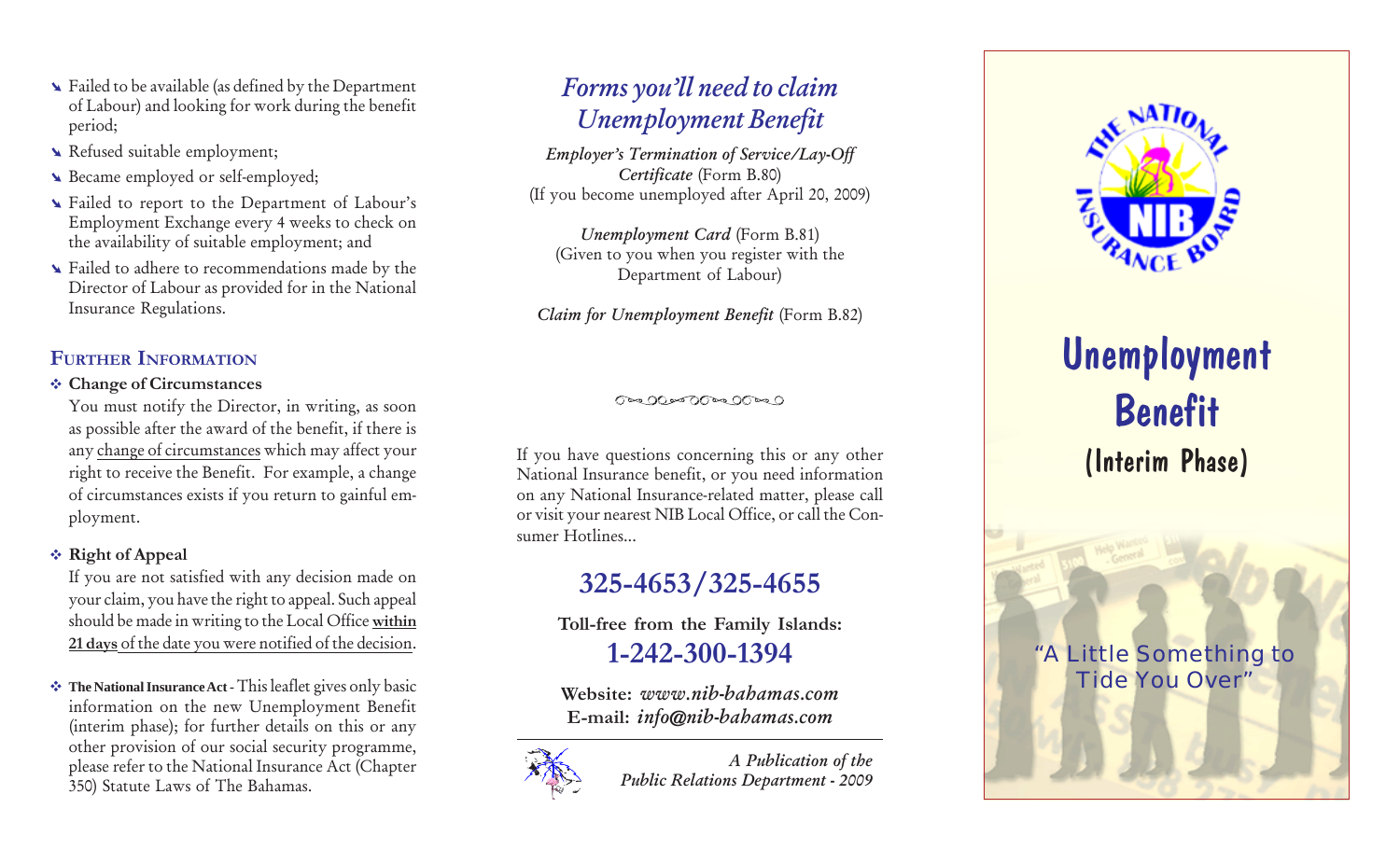- § Failed to be available (as defined by the Department of Labour) and looking for work during the benefit period;
- § Refused suitable employment;
- § Became employed or self-employed;
- § Failed to report to the Department of Labour's Employment Exchange every 4 weeks to check on the availability of suitable employment; and
- § Failed to adhere to recommendations made by the Director of Labour as provided for in the National Insurance Regulations.

#### **FURTHER INFORMATION**

#### <sup>Y</sup> **Change of Circumstances**

You must notify the Director, in writing, as soon as possible after the award of the benefit, if there is any change of circumstances which may affect your right to receive the Benefit. For example, a change of circumstances exists if you return to gainful em<sup>p</sup>loyment.

#### <sup>Y</sup> **Right of Appeal**

If you are not satisfied with any decision made on your claim, you have the right to appeal. Such appeal should be made in writing to the Local Office **within 21 days** of the date you were notified of the decision.

**❖** The National Insurance Act - This leaflet gives only basic information on the new Unemployment Benefit (interim phase); for further details on this or any other provision of our social security programme, <sup>p</sup>lease refer to the National Insurance Act (Chapter 350) Statute Laws of The Bahamas.

### *Forms you'll need to claim Unemployment Benefit*

*Employer's Termination of Service/Lay-Off Certificate* (Form B.80) (If you become unemployed after April 20, 2009)

*Unemployment Card* (Form B.81) (Given to you when you register with the Department of Labour)

*Claim for Unemployment Benefit* (Form B.82)

೧೯೩೦೦ ಅಂ೧೧ ೧೯೩೦೧

If you have questions concerning this or any other National Insurance benefit, or you need information on any National Insurance-related matter, please call or visit your nearest NIB Local Office, or call the Consumer Hotlines...

## **325-4653/325-4655**

**Toll-free from the Family Islands: 1-242-300-1394**

**Website:** *www.nib-bahamas.com* **E-mail:** *info@nib-bahamas.com*



*A Publication of the Public Relations Department - 2009*



# Unemployment Benefit (Interim Phase)